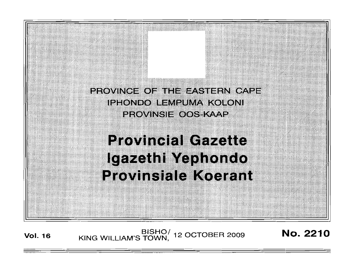

**Vol. <sup>16</sup>** BISHO/ KING WILLIAM'S TOWN , 12 OCTOBEH 2009

**No. 2210**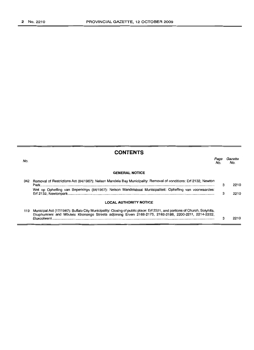|     | <b>CONTENTS</b>                                                                                                                                                                                                                                 |     |        |
|-----|-------------------------------------------------------------------------------------------------------------------------------------------------------------------------------------------------------------------------------------------------|-----|--------|
| No. |                                                                                                                                                                                                                                                 | NΩ. | Сагате |
|     | <b>GENERAL NOTICE</b>                                                                                                                                                                                                                           |     |        |
| 342 | Removal of Restrictions Act (84/1967): Nelson Mandela Bay Municipality: Removal of conditions: Erf 2132, Newton                                                                                                                                 | з   | 2210   |
|     | Wet op Opheffing van Beperkings (84/1967): Nelson Mandelabaai Munisipaliteit: Opheffing van voorwaardes:                                                                                                                                        | з   | 2210   |
|     | <b>LOCAL AUTHORITY NOTICE</b>                                                                                                                                                                                                                   |     |        |
| 119 | Municipal Act (17/1987): Buffalo City Municipality: Closing of public place: Erf 2221, and portions of Church, Sotyhifa,<br>Ekuphumleni and Mbulelo Khonongo Streets adjoining Erven 2168-2175, 2182-2188, 2200-2211, 2214-2222,<br>Eluxcolweni | з   | 2210   |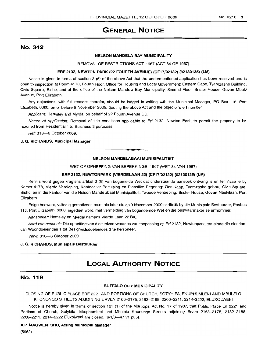#### No.2210 3

# **(3ENERAL NOTICE**

# No. 342

#### NELSON MANDELA BAY MUNICIPALITY

REMOVAL OF RESTRICTIONS ACT, 1967 (ACT 84 OF 1967)

#### ERF 2132, NEWTON PARK (22 FOURTH AVENUE) (CF17'/02132) (02130135) (LM)

Notice is given in terms of section 3 (6) ot the above Act that the underrnentioned application has been received and is open to inspection at Room 4178, Fourth Floor, Office for Housing and Local Government: Eastern Cape, Tyamzashe Building, Civic Square, Bisho, and at the office of the Nelson Mandela Bay Municipality, Second Floor, Brister House, Govan Mbeki Avenue, Port Elizabeth.

Any objections, with full reasons therefor, should be lodged in writing with the Municipal Manager, PO Box 116, Port Elizabeth, 6000, on or before 9 November 2009, quoting the above Act and the objector's erf number.

Applicant: Hemsley and Myrdal on behalf of 22 Fourth Avenue CC.

Nature of application: Removal of title conditions applicable to Erf 2132, Newton Park, to permit the property to be rezoned from Residential 1 to Business 3 purposes.

Ref: 318-6 October 2009.

### J. G. RICHARDS, Municipal Manager

#### NELSON MANDELABAAI MUNISIPALITEIT

**• •**

WET OP OPHEFFING VAN BEPERKINGS, 1967 (WET 84 VAN 1967)

#### ERF 2132, NEWTONPARK (VIERDELAAN 22) (CF17/02132) (02130135) (LM)

Kennis word gegee kragtens artikel 3 (6) van bogemelde Wet dat onderstaande aansoek ontvang is en ter insae lê by Karner 4178, Vierde Verdieping, Kantoor vir Behuising en Plaaslike Regering: Oos-Kaap, Tyamzashe-qebou, Civic Square, Bisho, en in die kantoor van die Nelson Mandelabaai Munisipaliteit, Tweede Verdieping, Brister House, Govan Mbekilaan, Port Elizabeth.

Enige besware, volledig gemotiveer, moet nie later nie as 9 November 2009 skriftelik by die Munisipale Bestuurder, Posbus 116, Port Elizabeth, 6000, ingedien word, met vermelding van bogenoemde Wet en die beswaarmaker se ertnommer.

Aansoeker: Hemsley en Myrdal namens Vierde Laan 22 BK.

Aard van aansoek: Die opheffing van die titelvoorwaardes van toepassing op Erf 2132, Newtonpark, ten einde die eiendom van Woondoeleindes 1 tot Besigheidsdoeleindes 3 te hersoneer.

Verw: 318-6 Oktober 2009.

#### J. G. RICHARDS, Munisipale Bestuurder

# **LOCAL AUTHORITY NOTICE**

## No. 119

#### BUFFALO CITY MUNICIPALITY

CLOSING OF PUBLIC PLACE ERF 2221 AND PORTIONS OF CHURCH, SOTYHIFA, EKUPHUMLENI AND MBULELO KHONONGO STREETS ADJOINING ERVEN 2168-2175, 2182-2188, 2200-2211, 2214-2222, ELUXOLWENI

Notice is hereby given in terms of section 121 (1) of the Municipal Act No. 17 of 1987, that Public Place Ert 2221 and Portions of Church, Sotyhifa, Ekuphumleni and Mbulelo Khonongo Streets adjoining Erven 2168-2175, 2182-2188, 2200-2211, 2214-2222 Eluxolweni are closed. (6/1/3-47 v1 p85).

#### A.P. MAGWENTSHU, Acting Municipal Manager

(5962)